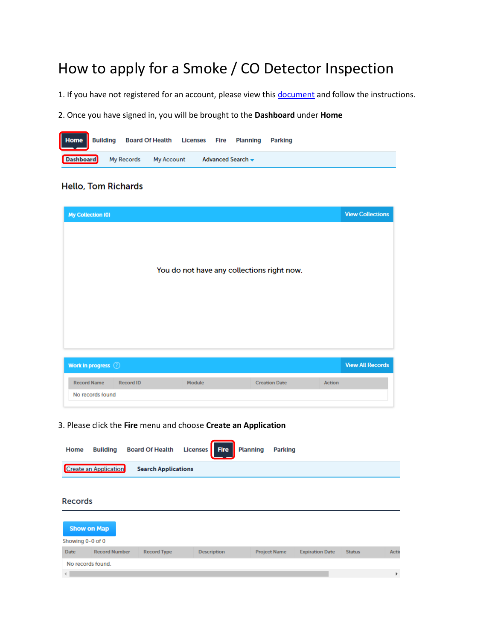# How to apply for a Smoke / CO Detector Inspection

1. If you have not registered for an account, please view thi[s document](http://www.brooklinema.gov/DocumentCenter/View/12298) and follow the instructions.

2. Once you have signed in, you will be brought to the **Dashboard** under **Home**



## **Hello, Tom Richards**

**Record Name** 

No records found

Record ID

| <b>My Collection (0)</b>                   | <b>View Collections</b> |
|--------------------------------------------|-------------------------|
|                                            |                         |
|                                            |                         |
|                                            |                         |
| You do not have any collections right now. |                         |
|                                            |                         |
|                                            |                         |
|                                            |                         |
|                                            |                         |
| Work in progress (2)                       | <b>View All Records</b> |
|                                            |                         |

Action

**Creation Date** 

### 3. Please click the **Fire** menu and choose **Create an Application**

Module

| Home             | <b>Building</b>              | <b>Board Of Health</b>     | <b>Fire</b><br><b>Licenses</b> | <b>Planning</b> | <b>Parking</b>      |                        |               |              |
|------------------|------------------------------|----------------------------|--------------------------------|-----------------|---------------------|------------------------|---------------|--------------|
|                  | <b>Create an Application</b> | <b>Search Applications</b> |                                |                 |                     |                        |               |              |
|                  |                              |                            |                                |                 |                     |                        |               |              |
| <b>Records</b>   |                              |                            |                                |                 |                     |                        |               |              |
|                  | <b>Show on Map</b>           |                            |                                |                 |                     |                        |               |              |
| Showing 0-0 of 0 |                              |                            |                                |                 |                     |                        |               |              |
| <b>Date</b>      | <b>Record Number</b>         | <b>Record Type</b>         | <b>Description</b>             |                 | <b>Project Name</b> | <b>Expiration Date</b> | <b>Status</b> | <b>Actio</b> |
|                  | No records found.            |                            |                                |                 |                     |                        |               |              |
|                  |                              |                            |                                |                 |                     |                        |               | Þ            |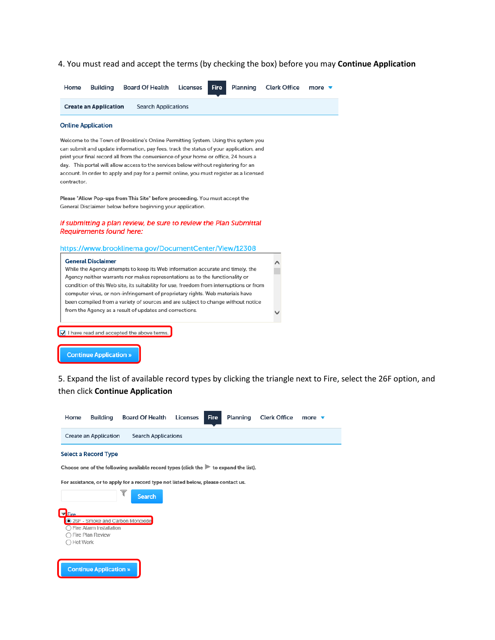4. You must read and accept the terms (by checking the box) before you may Continue Application

| Home | Buildina                     | Board Of Health Licenses Fire Planning Clerk Office more ▼ |  |  |  |
|------|------------------------------|------------------------------------------------------------|--|--|--|
|      | <b>Create an Application</b> | <b>Search Applications</b>                                 |  |  |  |

#### **Online Application**

Welcome to the Town of Brookline's Online Permitting System. Using this system you can submit and update information, pay fees, track the status of your application, and print your final record all from the convenience of your home or office, 24 hours a day. This portal will allow access to the services below without registering for an account. In order to apply and pay for a permit online, you must register as a licensed contractor.

Please "Allow Pop-ups from This Site" before proceeding. You must accept the General Disclaimer below before beginning your application.

#### If submitting a plan review, be sure to review the Plan Submittal **Requirements found here:**

https://www.brooklinema.gov/DocumentCenter/View/12308

| <b>General Disclaimer</b><br>While the Agency attempts to keep its Web information accurate and timely, the<br>Agency neither warrants nor makes representations as to the functionality or<br>condition of this Web site, its suitability for use, freedom from interruptions or from<br>computer virus, or non-infringement of proprietary rights. Web materials have<br>been compiled from a variety of sources and are subject to change without notice<br>from the Agency as a result of updates and corrections. |  |
|------------------------------------------------------------------------------------------------------------------------------------------------------------------------------------------------------------------------------------------------------------------------------------------------------------------------------------------------------------------------------------------------------------------------------------------------------------------------------------------------------------------------|--|
| $\sqrt{\phantom{a}}$ I have read and accepted the above terms.<br>Continua Annlication »                                                                                                                                                                                                                                                                                                                                                                                                                               |  |

5. Expand the list of available record types by clicking the triangle next to Fire, select the 26F option, and then click Continue Application

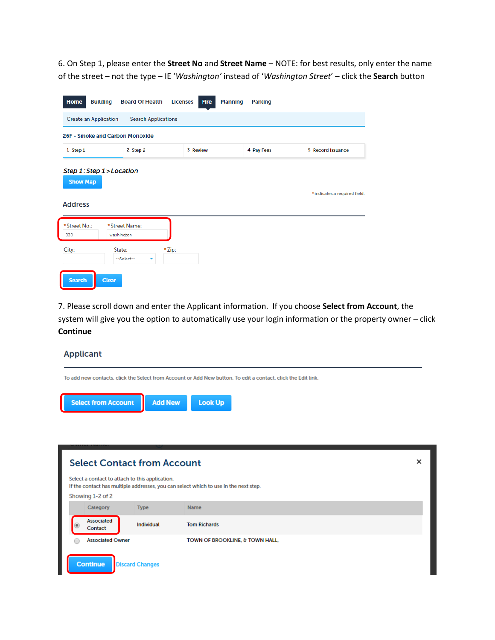6. On Step 1, please enter the **Street No** and **Street Name** – NOTE: for best results, only enter the name of the street – not the type – IE '*Washington'* instead of '*Washington Street*' – click the **Search** button

| Home<br><b>Building</b>                                        | <b>Board Of Health</b><br><b>Licenses</b> | <b>Planning</b><br><b>Fire</b> | <b>Parking</b> |                               |  |  |
|----------------------------------------------------------------|-------------------------------------------|--------------------------------|----------------|-------------------------------|--|--|
| <b>Create an Application</b><br><b>Search Applications</b>     |                                           |                                |                |                               |  |  |
| 26F - Smoke and Carbon Monoxide                                |                                           |                                |                |                               |  |  |
| 1 Step 1                                                       | 2 Step 2                                  | 3 Review                       | 4 Pay Fees     | 5 Record Issuance             |  |  |
| Step 1: Step 1 > Location<br><b>Show Map</b><br><b>Address</b> |                                           |                                |                | * indicates a required field. |  |  |
| * Street No.:<br>washington<br>333                             | * Street Name:                            |                                |                |                               |  |  |
| City:<br>State:                                                | *Zip:<br>--Select--<br>۰                  |                                |                |                               |  |  |
| <b>Search</b><br><b>Clear</b>                                  |                                           |                                |                |                               |  |  |

7. Please scroll down and enter the Applicant information. If you choose **Select from Account**, the system will give you the option to automatically use your login information or the property owner – click **Continue**

#### **Applicant**

To add new contacts, click the Select from Account or Add New button. To edit a contact, click the Edit link.



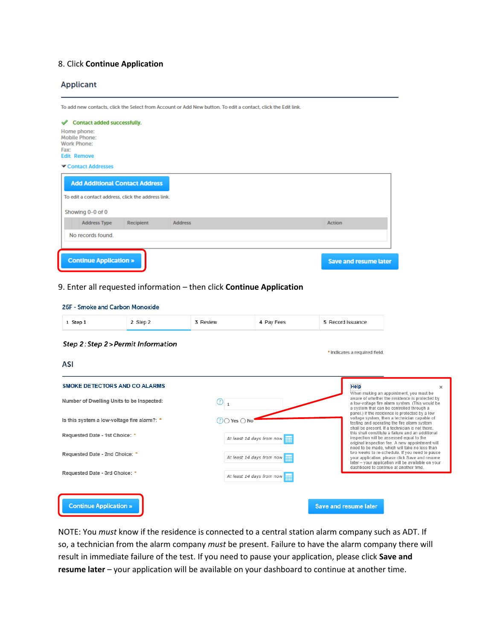## 8. Click **Continue Application**

#### **Applicant**

To add new contacts, click the Select from Account or Add New button. To edit a contact, click the Edit link.

| Contact added successfully.                                                             |                              |
|-----------------------------------------------------------------------------------------|------------------------------|
| Home phone:<br><b>Mobile Phone:</b><br><b>Work Phone:</b><br>Fax:<br><b>Edit Remove</b> |                              |
| Contact Addresses                                                                       |                              |
| <b>Add Additional Contact Address</b>                                                   |                              |
| To edit a contact address, click the address link.                                      |                              |
| Showing 0-0 of 0                                                                        |                              |
| <b>Address Type</b><br><b>Recipient</b><br><b>Address</b>                               | <b>Action</b>                |
| No records found.                                                                       |                              |
|                                                                                         |                              |
| <b>Continue Application »</b>                                                           | <b>Save and resume later</b> |

### 9. Enter all requested information – then click **Continue Application**

| 26F - Smoke and Carbon Monoxide             |          |                             |                           |                               |                                                                                                                                                                                                         |
|---------------------------------------------|----------|-----------------------------|---------------------------|-------------------------------|---------------------------------------------------------------------------------------------------------------------------------------------------------------------------------------------------------|
| 1 Step 1                                    | 2 Step 2 | 3 Review                    | 4 Pay Fees                | 5 Record Issuance             |                                                                                                                                                                                                         |
| Step 2: Step 2 > Permit Information<br>ASI  |          |                             |                           | * indicates a required field. |                                                                                                                                                                                                         |
| <b>SMOKE DETECTORS AND CO ALARMS</b>        |          |                             |                           | Help                          | $\mathbf x$<br>When making an appointment, you must be                                                                                                                                                  |
| Number of Dwelling Units to be Inspected:   |          | (?)<br>$\mathbf{1}$         |                           |                               | aware of whether the residence is protected by<br>a low-voltage fire alarm system. (This would be<br>a system that can be controlled through a                                                          |
| Is this system a low-voltage fire alarm?: * |          | $\supset$ Yes $\bigcirc$ No |                           |                               | panel.) If the residence is protected by a low<br>voltage system, then a technician capable of<br>testing and operating the fire alarm system<br>shall be present. If a technician is not there.        |
| Requested Date - 1st Choice: *              |          |                             | At least 14 days from now |                               | this shall constitute a failure and an additional<br>inspection will be assessed equal to the<br>original inspection fee. A new appointment will                                                        |
| Requested Date - 2nd Choice: *              |          |                             | At least 14 days from now |                               | need to be made, which will take no less than<br>two weeks to re-schedule. If you need to pause<br>your application, please click Save and resume<br>later - your application will be available on your |
| Requested Date - 3rd Choice: *              |          |                             | At least 14 days from now |                               | dashboard to continue at another time.                                                                                                                                                                  |
|                                             |          |                             |                           |                               |                                                                                                                                                                                                         |
| <b>Continue Application »</b>               |          |                             |                           | <b>Save and resume later</b>  |                                                                                                                                                                                                         |

NOTE: You *must* know if the residence is connected to a central station alarm company such as ADT. If so, a technician from the alarm company *must* be present. Failure to have the alarm company there will result in immediate failure of the test. If you need to pause your application, please click **Save and resume later** – your application will be available on your dashboard to continue at another time.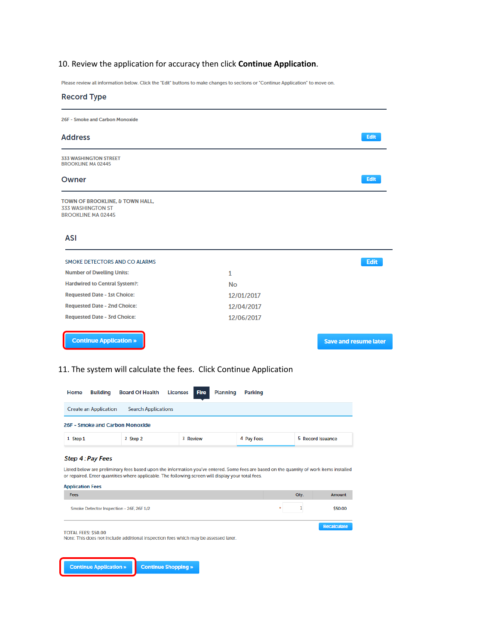# 10. Review the application for accuracy then click **Continue Application**.

Please review all information below. Click the "Edit" buttons to make changes to sections or "Continue Application" to move on.

| <b>Record Type</b>                                                                       |              |                              |
|------------------------------------------------------------------------------------------|--------------|------------------------------|
| 26F - Smoke and Carbon Monoxide                                                          |              |                              |
| <b>Address</b>                                                                           |              | Edit                         |
| <b>333 WASHINGTON STREET</b><br><b>BROOKLINE MA 02445</b>                                |              |                              |
| Owner                                                                                    |              | Edit                         |
| TOWN OF BROOKLINE, & TOWN HALL,<br><b>333 WASHINGTON ST</b><br><b>BROOKLINE MA 02445</b> |              |                              |
| <b>ASI</b>                                                                               |              |                              |
| SMOKE DETECTORS AND CO ALARMS                                                            |              | Edit                         |
| <b>Number of Dwelling Units:</b>                                                         | $\mathbf{1}$ |                              |
| <b>Hardwired to Central System?:</b>                                                     | <b>No</b>    |                              |
| <b>Requested Date - 1st Choice:</b>                                                      | 12/01/2017   |                              |
| <b>Requested Date - 2nd Choice:</b>                                                      | 12/04/2017   |                              |
| <b>Requested Date - 3rd Choice:</b>                                                      | 12/06/2017   |                              |
| <b>Continue Application »</b>                                                            |              | <b>Save and resume later</b> |

### 11. The system will calculate the fees. Click Continue Application

| <b>Building</b><br>Home         | <b>Board Of Health Licenses Fire</b> | <b>Planning</b> | <b>Parking</b> |                   |
|---------------------------------|--------------------------------------|-----------------|----------------|-------------------|
| <b>Create an Application</b>    | <b>Search Applications</b>           |                 |                |                   |
| 26F - Smoke and Carbon Monoxide |                                      |                 |                |                   |
| 1 Step 1                        | 2 Step 2                             | 3 Review        | 4 Pay Fees     | 5 Record Issuance |

#### Step 4: Pay Fees

Listed below are preliminary fees based upon the information you've entered. Some fees are based on the quantity of work items installed or repaired. Enter quantities where applicable. The following screen will display your total fees.

| <b>Application Fees</b>                                                                                           |      |                    |
|-------------------------------------------------------------------------------------------------------------------|------|--------------------|
| Fees                                                                                                              | Qty. | Amount             |
| Smoke Detector Inspection - 26F, 26F 1/2                                                                          |      | \$50.00            |
| <b>TOTAL FEES: \$50,00</b><br>Note: This does not include additional inspection fees which may be assessed later. |      | <b>Recalculate</b> |

**Continue Application » Continue Shopping »**